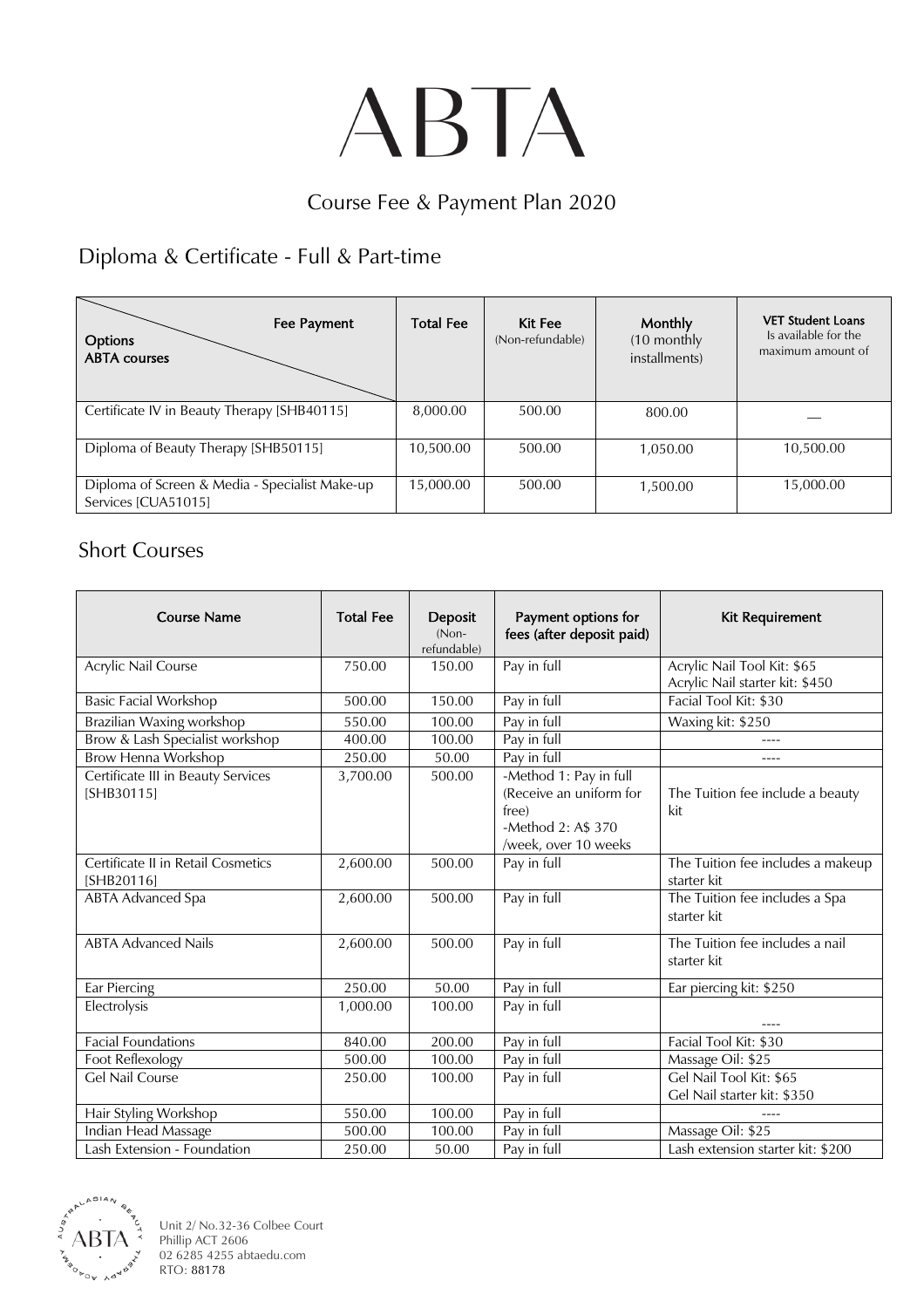# ABTA

#### Course Fee & Payment Plan 2020

## Diploma & Certificate - Full & Part-time

| Fee Payment<br>Options<br><b>ABTA</b> courses                         | <b>Total Fee</b> | Kit Fee<br>(Non-refundable) | <b>Monthly</b><br>(10 monthly<br>installments) | <b>VET Student Loans</b><br>Is available for the<br>maximum amount of |
|-----------------------------------------------------------------------|------------------|-----------------------------|------------------------------------------------|-----------------------------------------------------------------------|
| Certificate IV in Beauty Therapy [SHB40115]                           | 8,000.00         | 500.00                      | 800.00                                         |                                                                       |
| Diploma of Beauty Therapy [SHB50115]                                  | 10,500.00        | 500.00                      | 1,050.00                                       | 10,500.00                                                             |
| Diploma of Screen & Media - Specialist Make-up<br>Services [CUA51015] | 15,000.00        | 500.00                      | 1,500.00                                       | 15,000.00                                                             |

#### Short Courses

| <b>Course Name</b>                               | <b>Total Fee</b> | Deposit<br>(Non-<br>refundable) | Payment options for<br>fees (after deposit paid)                                                         | Kit Requirement                                                |
|--------------------------------------------------|------------------|---------------------------------|----------------------------------------------------------------------------------------------------------|----------------------------------------------------------------|
| Acrylic Nail Course                              | 750.00           | 150.00                          | Pay in full                                                                                              | Acrylic Nail Tool Kit: \$65<br>Acrylic Nail starter kit: \$450 |
| <b>Basic Facial Workshop</b>                     | 500.00           | 150.00                          | Pay in full                                                                                              | Facial Tool Kit: \$30                                          |
| Brazilian Waxing workshop                        | 550.00           | 100.00                          | Pay in full                                                                                              | Waxing kit: \$250                                              |
| Brow & Lash Specialist workshop                  | 400.00           | 100.00                          | Pay in full                                                                                              |                                                                |
| Brow Henna Workshop                              | 250.00           | 50.00                           | Pay in full                                                                                              | ----                                                           |
| Certificate III in Beauty Services<br>[SHB30115] | 3,700.00         | 500.00                          | -Method 1: Pay in full<br>(Receive an uniform for<br>free)<br>-Method 2: A\$ 370<br>/week, over 10 weeks | The Tuition fee include a beauty<br>kit                        |
| Certificate II in Retail Cosmetics<br>[SHB20116] | 2,600.00         | 500.00                          | Pay in full                                                                                              | The Tuition fee includes a makeup<br>starter kit               |
| <b>ABTA Advanced Spa</b>                         | 2,600.00         | 500.00                          | Pay in full                                                                                              | The Tuition fee includes a Spa<br>starter kit                  |
| <b>ABTA Advanced Nails</b>                       | 2,600.00         | 500.00                          | Pay in full                                                                                              | The Tuition fee includes a nail<br>starter kit                 |
| Ear Piercing                                     | 250.00           | 50.00                           | Pay in full                                                                                              | Ear piercing kit: \$250                                        |
| Electrolysis                                     | 1,000.00         | 100.00                          | Pay in full                                                                                              |                                                                |
| Facial Foundations                               | 840.00           | 200.00                          | Pay in full                                                                                              | Facial Tool Kit: \$30                                          |
| Foot Reflexology                                 | 500.00           | 100.00                          | Pay in full                                                                                              | Massage Oil: \$25                                              |
| <b>Gel Nail Course</b>                           | 250.00           | 100.00                          | Pay in full                                                                                              | Gel Nail Tool Kit: \$65<br>Gel Nail starter kit: \$350         |
| Hair Styling Workshop                            | 550.00           | 100.00                          | Pay in full                                                                                              |                                                                |
| Indian Head Massage                              | 500.00           | 100.00                          | Pay in full                                                                                              | Massage Oil: \$25                                              |
| Lash Extension - Foundation                      | 250.00           | 50.00                           | Pay in full                                                                                              | Lash extension starter kit: \$200                              |



Unit 2/ No.32-36 Colbee Court Phillip ACT 2606 02 6285 4255 abtaedu.com RTO: 88178